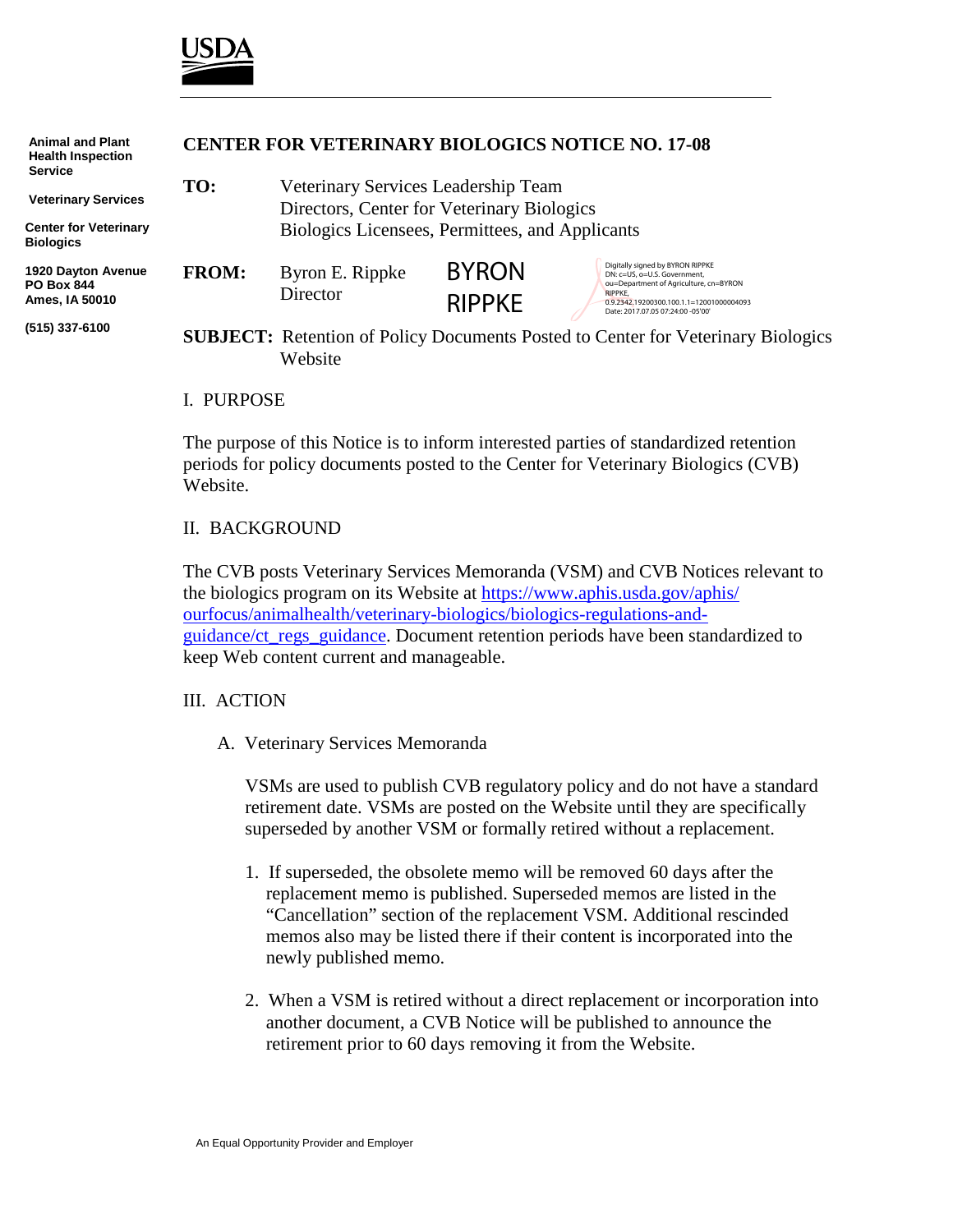

| <b>Animal and Plant</b><br><b>Health Inspection</b><br><b>Service</b> | <b>CENTER FOR VETERINARY BIOLOGICS NOTICE NO. 17-08</b> |                                                                                                    |                               |                                                                                                                                                                                                        |
|-----------------------------------------------------------------------|---------------------------------------------------------|----------------------------------------------------------------------------------------------------|-------------------------------|--------------------------------------------------------------------------------------------------------------------------------------------------------------------------------------------------------|
| <b>Veterinary Services</b>                                            | TO:                                                     | Veterinary Services Leadership Team<br>Directors, Center for Veterinary Biologics                  |                               |                                                                                                                                                                                                        |
| <b>Center for Veterinary</b><br><b>Biologics</b>                      |                                                         | Biologics Licensees, Permittees, and Applicants                                                    |                               |                                                                                                                                                                                                        |
| 1920 Dayton Avenue<br><b>PO Box 844</b><br>Ames, IA 50010             | <b>FROM:</b>                                            | Byron E. Rippke<br>Director                                                                        | <b>BYRON</b><br><b>RIPPKE</b> | Digitally signed by BYRON RIPPKE<br>DN: c=US, o=U.S. Government,<br>ou=Department of Agriculture, cn=BYRON<br>RIPPKE.<br>0.9.2342.19200300.100.1.1=12001000004093<br>Date: 2017.07.05 07:24:00 -05'00' |
| (515) 337-6100                                                        |                                                         | <b>SUBJECT:</b> Retention of Policy Documents Posted to Center for Veterinary Biologics<br>Website |                               |                                                                                                                                                                                                        |
|                                                                       | <b>I</b> DIDDOCH                                        |                                                                                                    |                               |                                                                                                                                                                                                        |

#### I. PURPOSE

The purpose of this Notice is to inform interested parties of standardized retention periods for policy documents posted to the Center for Veterinary Biologics (CVB) Website.

#### II. BACKGROUND

The CVB posts Veterinary Services Memoranda (VSM) and CVB Notices relevant to the biologics program on its Website at [https://www.aphis.usda.gov/aphis/](https://www.aphis.usda.gov/aphis/%0bourfocus/animalhealth/veterinary-biologics/biologics-regulations-and-guidance/ct_regs_guidance) [ourfocus/animalhealth/veterinary-biologics/biologics-regulations-and](https://www.aphis.usda.gov/aphis/%0bourfocus/animalhealth/veterinary-biologics/biologics-regulations-and-guidance/ct_regs_guidance)[guidance/ct\\_regs\\_guidance.](https://www.aphis.usda.gov/aphis/%0bourfocus/animalhealth/veterinary-biologics/biologics-regulations-and-guidance/ct_regs_guidance) Document retention periods have been standardized to keep Web content current and manageable.

#### III. ACTION

A. Veterinary Services Memoranda

VSMs are used to publish CVB regulatory policy and do not have a standard retirement date. VSMs are posted on the Website until they are specifically superseded by another VSM or formally retired without a replacement.

- 1. If superseded, the obsolete memo will be removed 60 days after the replacement memo is published. Superseded memos are listed in the "Cancellation" section of the replacement VSM. Additional rescinded memos also may be listed there if their content is incorporated into the newly published memo.
- 2. When a VSM is retired without a direct replacement or incorporation into another document, a CVB Notice will be published to announce the retirement prior to 60 days removing it from the Website.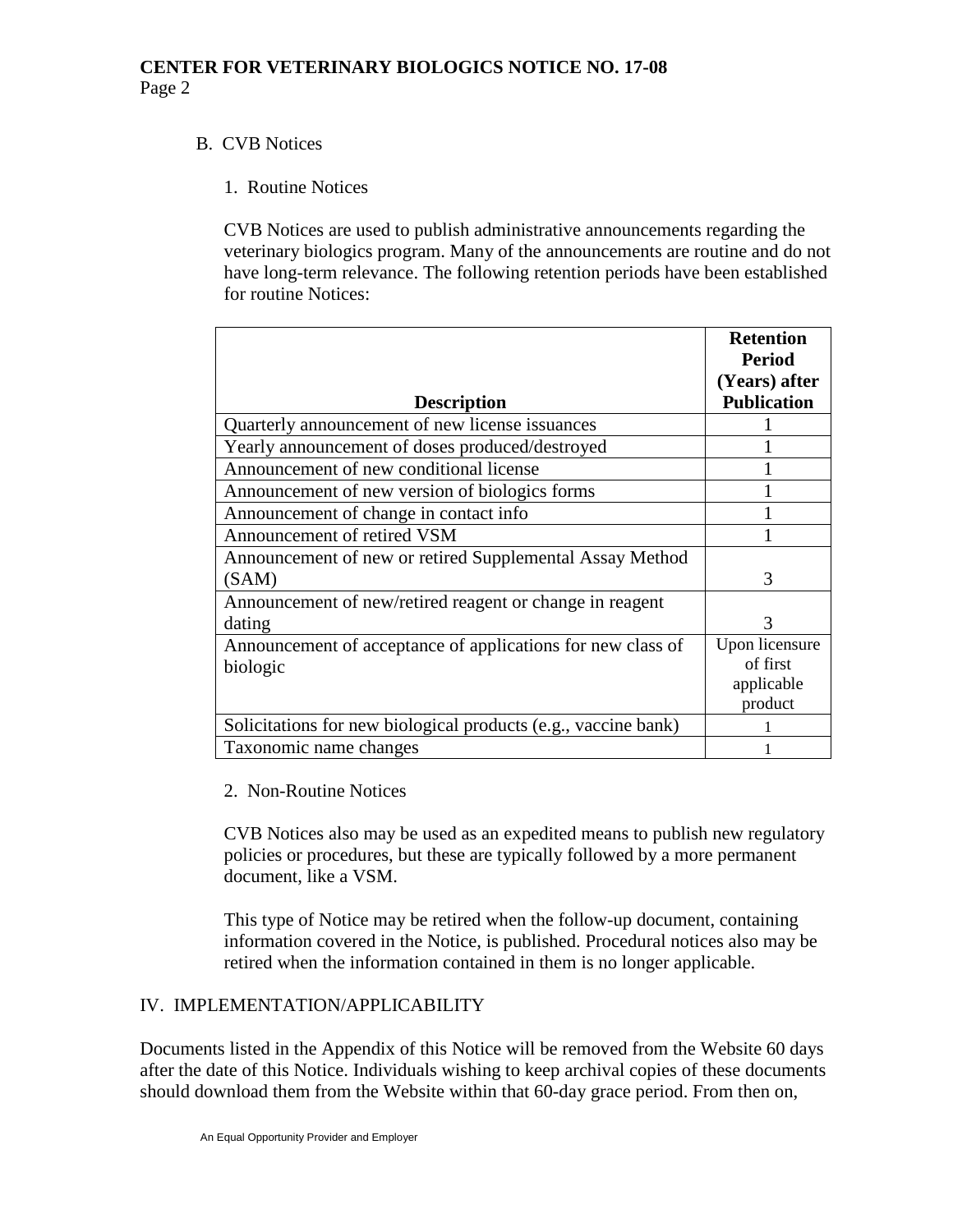### B. CVB Notices

### 1. Routine Notices

CVB Notices are used to publish administrative announcements regarding the veterinary biologics program. Many of the announcements are routine and do not have long-term relevance. The following retention periods have been established for routine Notices:

|                                                                | <b>Retention</b><br><b>Period</b> |
|----------------------------------------------------------------|-----------------------------------|
|                                                                | (Years) after                     |
| <b>Description</b>                                             | <b>Publication</b>                |
| Quarterly announcement of new license issuances                |                                   |
| Yearly announcement of doses produced/destroyed                |                                   |
| Announcement of new conditional license                        |                                   |
| Announcement of new version of biologics forms                 |                                   |
| Announcement of change in contact info                         |                                   |
| Announcement of retired VSM                                    |                                   |
| Announcement of new or retired Supplemental Assay Method       |                                   |
| (SAM)                                                          | $\mathcal{R}$                     |
| Announcement of new/retired reagent or change in reagent       |                                   |
| dating                                                         | 3                                 |
| Announcement of acceptance of applications for new class of    | Upon licensure                    |
| biologic                                                       | of first                          |
|                                                                | applicable                        |
|                                                                | product                           |
| Solicitations for new biological products (e.g., vaccine bank) |                                   |
| Taxonomic name changes                                         |                                   |

### 2. Non-Routine Notices

CVB Notices also may be used as an expedited means to publish new regulatory policies or procedures, but these are typically followed by a more permanent document, like a VSM.

This type of Notice may be retired when the follow-up document, containing information covered in the Notice, is published. Procedural notices also may be retired when the information contained in them is no longer applicable.

## IV. IMPLEMENTATION/APPLICABILITY

Documents listed in the Appendix of this Notice will be removed from the Website 60 days after the date of this Notice. Individuals wishing to keep archival copies of these documents should download them from the Website within that 60-day grace period. From then on,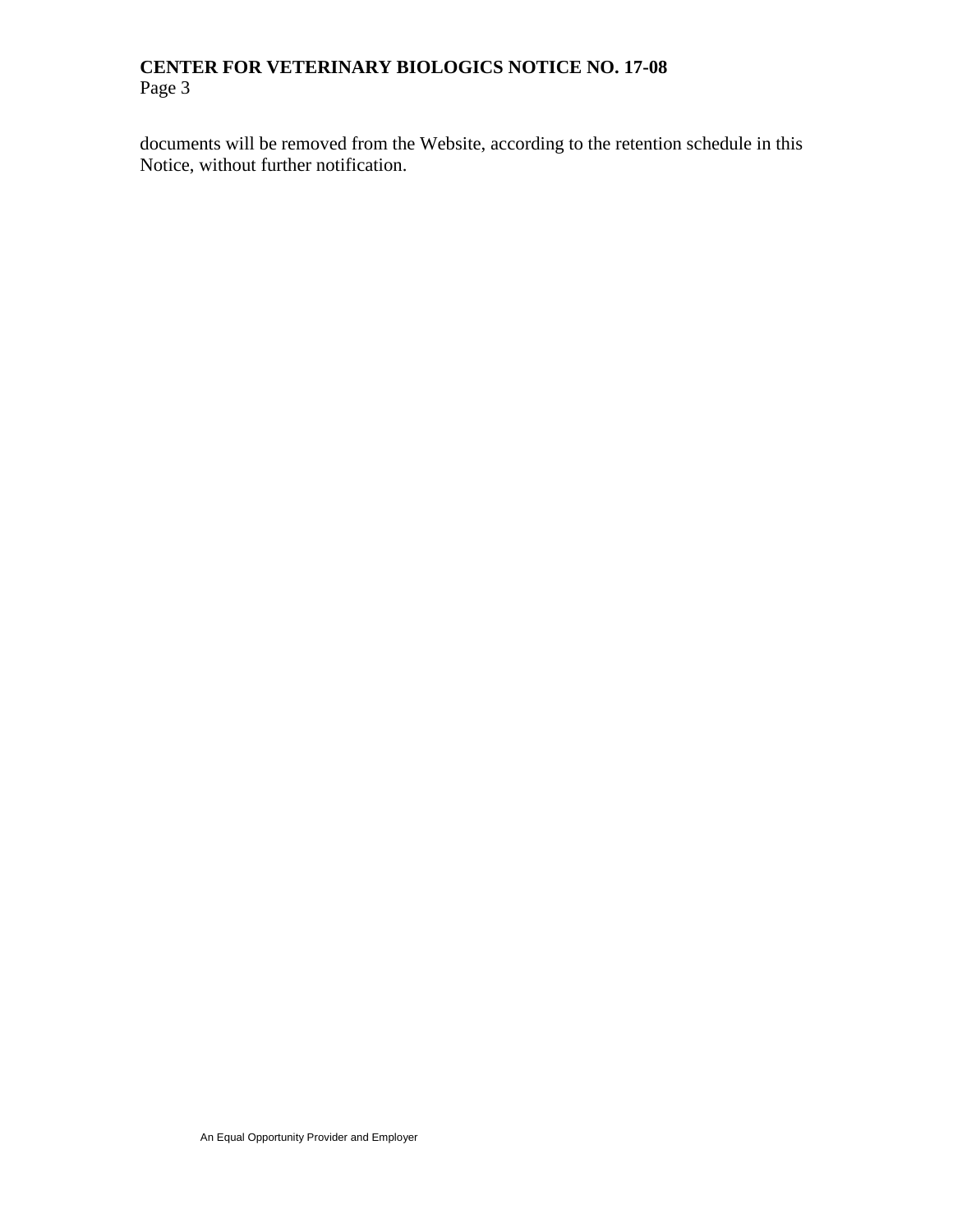documents will be removed from the Website, according to the retention schedule in this Notice, without further notification.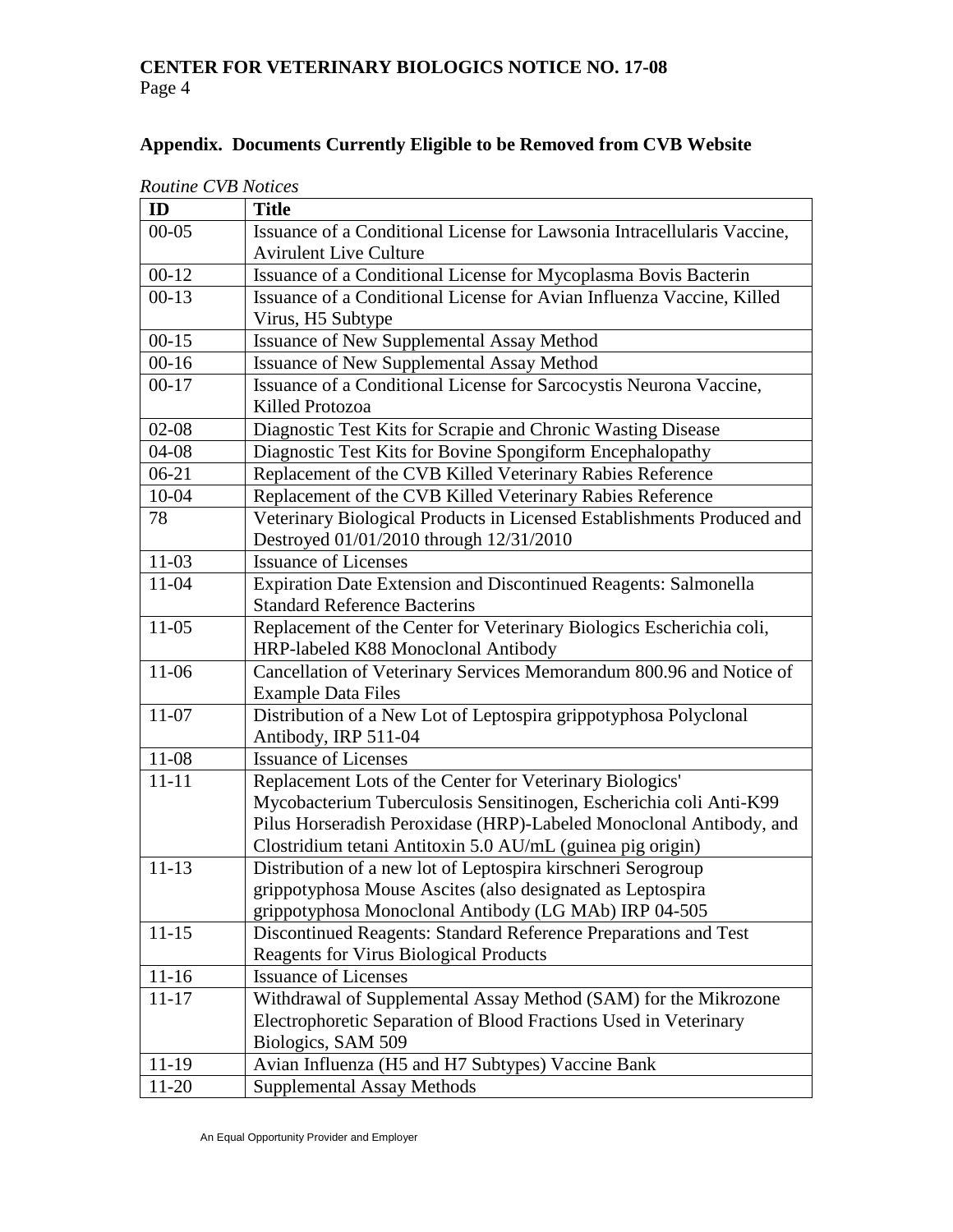# **Appendix. Documents Currently Eligible to be Removed from CVB Website**

| ID        | <b>Routine CVB Notices</b><br><b>Title</b>                              |  |  |
|-----------|-------------------------------------------------------------------------|--|--|
| $00 - 05$ | Issuance of a Conditional License for Lawsonia Intracellularis Vaccine, |  |  |
|           | <b>Avirulent Live Culture</b>                                           |  |  |
| $00 - 12$ | Issuance of a Conditional License for Mycoplasma Bovis Bacterin         |  |  |
| $00-13$   | Issuance of a Conditional License for Avian Influenza Vaccine, Killed   |  |  |
|           | Virus, H5 Subtype                                                       |  |  |
| $00 - 15$ | <b>Issuance of New Supplemental Assay Method</b>                        |  |  |
| $00 - 16$ | <b>Issuance of New Supplemental Assay Method</b>                        |  |  |
| $00 - 17$ | Issuance of a Conditional License for Sarcocystis Neurona Vaccine,      |  |  |
|           | Killed Protozoa                                                         |  |  |
| $02 - 08$ | Diagnostic Test Kits for Scrapie and Chronic Wasting Disease            |  |  |
| $04 - 08$ | Diagnostic Test Kits for Bovine Spongiform Encephalopathy               |  |  |
| $06 - 21$ | Replacement of the CVB Killed Veterinary Rabies Reference               |  |  |
| 10-04     | Replacement of the CVB Killed Veterinary Rabies Reference               |  |  |
| 78        | Veterinary Biological Products in Licensed Establishments Produced and  |  |  |
|           | Destroyed 01/01/2010 through 12/31/2010                                 |  |  |
| $11-03$   | <b>Issuance of Licenses</b>                                             |  |  |
| 11-04     | Expiration Date Extension and Discontinued Reagents: Salmonella         |  |  |
|           | <b>Standard Reference Bacterins</b>                                     |  |  |
| $11-05$   | Replacement of the Center for Veterinary Biologics Escherichia coli,    |  |  |
|           | HRP-labeled K88 Monoclonal Antibody                                     |  |  |
| 11-06     | Cancellation of Veterinary Services Memorandum 800.96 and Notice of     |  |  |
|           | <b>Example Data Files</b>                                               |  |  |
| $11-07$   | Distribution of a New Lot of Leptospira grippotyphosa Polyclonal        |  |  |
|           | Antibody, IRP 511-04                                                    |  |  |
| 11-08     | <b>Issuance of Licenses</b>                                             |  |  |
| $11 - 11$ | Replacement Lots of the Center for Veterinary Biologics'                |  |  |
|           | Mycobacterium Tuberculosis Sensitinogen, Escherichia coli Anti-K99      |  |  |
|           | Pilus Horseradish Peroxidase (HRP)-Labeled Monoclonal Antibody, and     |  |  |
|           | Clostridium tetani Antitoxin 5.0 AU/mL (guinea pig origin)              |  |  |
| $11 - 13$ | Distribution of a new lot of Leptospira kirschneri Serogroup            |  |  |
|           | grippotyphosa Mouse Ascites (also designated as Leptospira              |  |  |
|           | grippotyphosa Monoclonal Antibody (LG MAb) IRP 04-505                   |  |  |
| $11 - 15$ | Discontinued Reagents: Standard Reference Preparations and Test         |  |  |
|           | <b>Reagents for Virus Biological Products</b>                           |  |  |
| $11-16$   | <b>Issuance of Licenses</b>                                             |  |  |
| $11 - 17$ | Withdrawal of Supplemental Assay Method (SAM) for the Mikrozone         |  |  |
|           | Electrophoretic Separation of Blood Fractions Used in Veterinary        |  |  |
|           | Biologics, SAM 509                                                      |  |  |
| 11-19     | Avian Influenza (H5 and H7 Subtypes) Vaccine Bank                       |  |  |
| 11-20     | <b>Supplemental Assay Methods</b>                                       |  |  |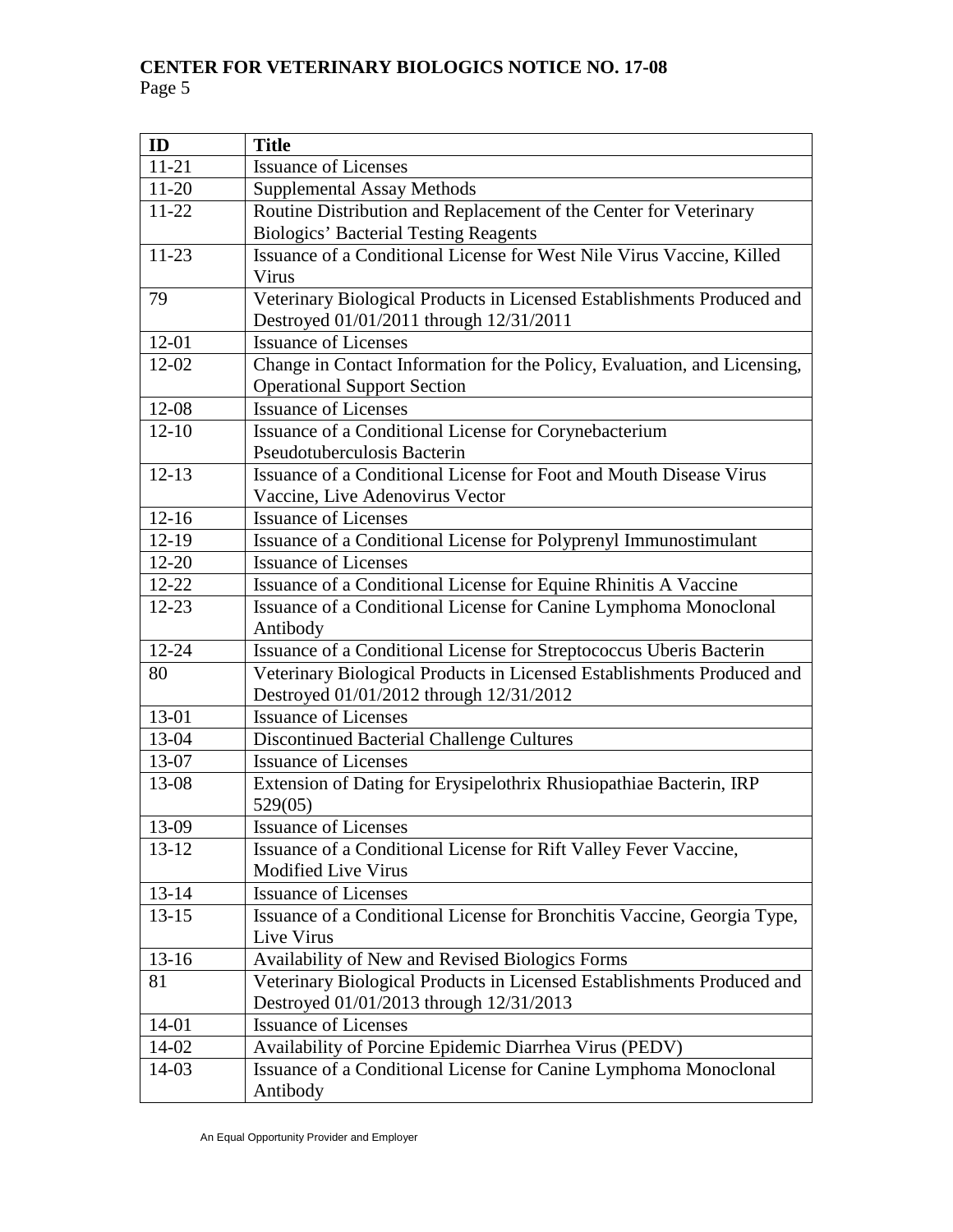| ID        | <b>Title</b>                                                             |
|-----------|--------------------------------------------------------------------------|
| $11 - 21$ | <b>Issuance of Licenses</b>                                              |
| $11 - 20$ | <b>Supplemental Assay Methods</b>                                        |
| $11 - 22$ | Routine Distribution and Replacement of the Center for Veterinary        |
|           | <b>Biologics' Bacterial Testing Reagents</b>                             |
| $11 - 23$ | Issuance of a Conditional License for West Nile Virus Vaccine, Killed    |
|           | Virus                                                                    |
| 79        | Veterinary Biological Products in Licensed Establishments Produced and   |
|           | Destroyed 01/01/2011 through 12/31/2011                                  |
| $12 - 01$ | <b>Issuance of Licenses</b>                                              |
| $12 - 02$ | Change in Contact Information for the Policy, Evaluation, and Licensing, |
|           | <b>Operational Support Section</b>                                       |
| 12-08     | <b>Issuance of Licenses</b>                                              |
| $12 - 10$ | Issuance of a Conditional License for Corynebacterium                    |
|           | Pseudotuberculosis Bacterin                                              |
| $12 - 13$ | Issuance of a Conditional License for Foot and Mouth Disease Virus       |
|           | Vaccine, Live Adenovirus Vector                                          |
| $12 - 16$ | <b>Issuance of Licenses</b>                                              |
| $12-19$   | Issuance of a Conditional License for Polyprenyl Immunostimulant         |
| $12 - 20$ | <b>Issuance of Licenses</b>                                              |
| $12 - 22$ | Issuance of a Conditional License for Equine Rhinitis A Vaccine          |
| $12 - 23$ | Issuance of a Conditional License for Canine Lymphoma Monoclonal         |
|           | Antibody                                                                 |
| 12-24     | Issuance of a Conditional License for Streptococcus Uberis Bacterin      |
| 80        | Veterinary Biological Products in Licensed Establishments Produced and   |
|           | Destroyed 01/01/2012 through 12/31/2012                                  |
| 13-01     | <b>Issuance of Licenses</b>                                              |
| 13-04     | Discontinued Bacterial Challenge Cultures                                |
| 13-07     | <b>Issuance of Licenses</b>                                              |
| 13-08     | Extension of Dating for Erysipelothrix Rhusiopathiae Bacterin, IRP       |
|           | 529(05)                                                                  |
| 13-09     | <b>Issuance of Licenses</b>                                              |
| 13-12     | Issuance of a Conditional License for Rift Valley Fever Vaccine,         |
|           | <b>Modified Live Virus</b>                                               |
| $13 - 14$ | <b>Issuance of Licenses</b>                                              |
| $13 - 15$ | Issuance of a Conditional License for Bronchitis Vaccine, Georgia Type,  |
|           | Live Virus                                                               |
| $13 - 16$ | Availability of New and Revised Biologics Forms                          |
| 81        | Veterinary Biological Products in Licensed Establishments Produced and   |
|           | Destroyed 01/01/2013 through 12/31/2013                                  |
| 14-01     | <b>Issuance of Licenses</b>                                              |
| 14-02     | Availability of Porcine Epidemic Diarrhea Virus (PEDV)                   |
| 14-03     | Issuance of a Conditional License for Canine Lymphoma Monoclonal         |
|           | Antibody                                                                 |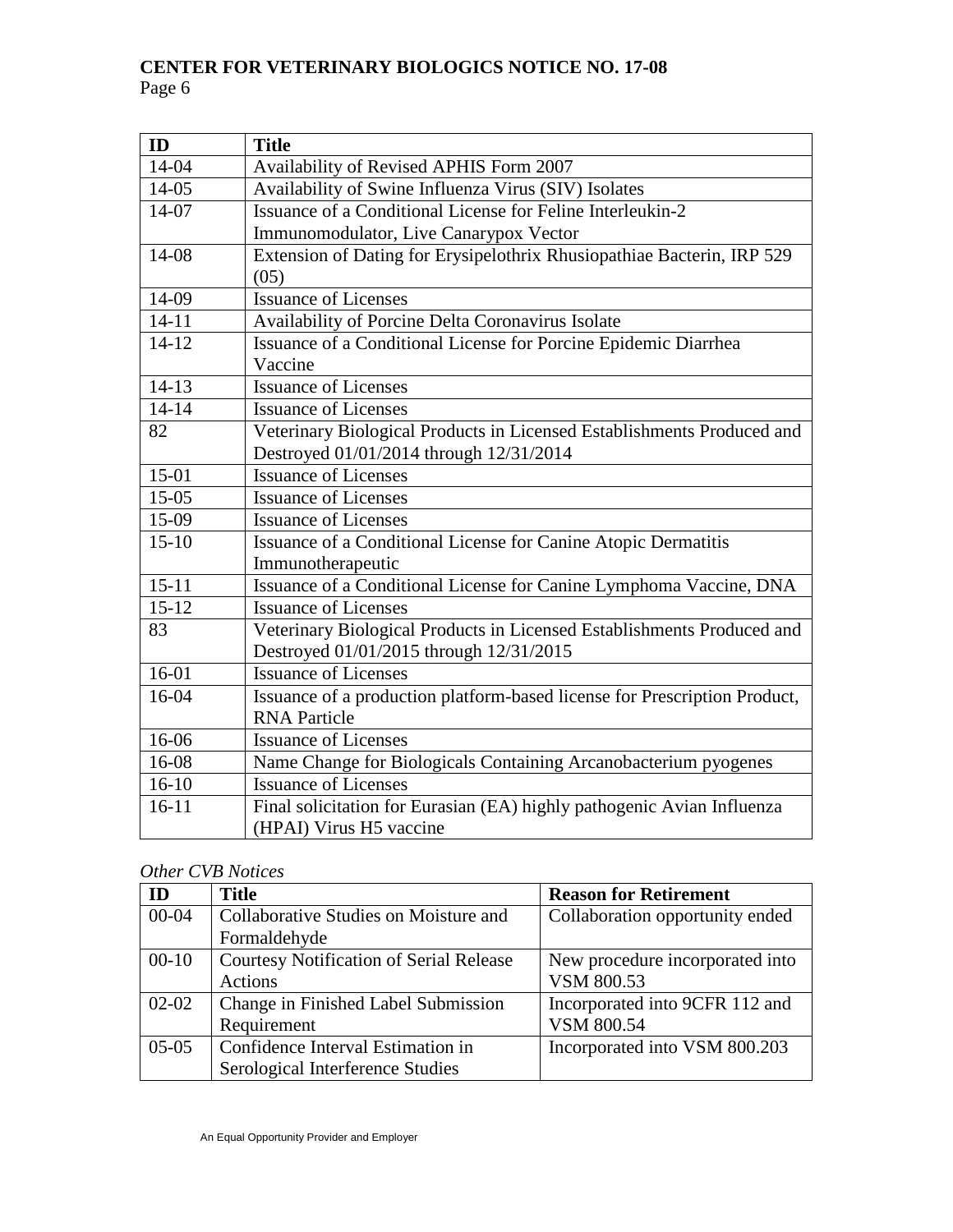| ID        | <b>Title</b>                                                              |
|-----------|---------------------------------------------------------------------------|
| 14-04     | Availability of Revised APHIS Form 2007                                   |
| 14-05     | Availability of Swine Influenza Virus (SIV) Isolates                      |
| 14-07     | Issuance of a Conditional License for Feline Interleukin-2                |
|           | Immunomodulator, Live Canarypox Vector                                    |
| 14-08     | Extension of Dating for Erysipelothrix Rhusiopathiae Bacterin, IRP 529    |
|           | (05)                                                                      |
| 14-09     | <b>Issuance of Licenses</b>                                               |
| $14 - 11$ | Availability of Porcine Delta Coronavirus Isolate                         |
| $14-12$   | Issuance of a Conditional License for Porcine Epidemic Diarrhea           |
|           | Vaccine                                                                   |
| $14 - 13$ | <b>Issuance of Licenses</b>                                               |
| $14 - 14$ | <b>Issuance of Licenses</b>                                               |
| 82        | Veterinary Biological Products in Licensed Establishments Produced and    |
|           | Destroyed 01/01/2014 through 12/31/2014                                   |
| 15-01     | Issuance of Licenses                                                      |
| $15-05$   | <b>Issuance of Licenses</b>                                               |
| 15-09     | <b>Issuance of Licenses</b>                                               |
| $15-10$   | Issuance of a Conditional License for Canine Atopic Dermatitis            |
|           | Immunotherapeutic                                                         |
| $15 - 11$ | Issuance of a Conditional License for Canine Lymphoma Vaccine, DNA        |
| $15 - 12$ | <b>Issuance of Licenses</b>                                               |
| 83        | Veterinary Biological Products in Licensed Establishments Produced and    |
|           | Destroyed 01/01/2015 through 12/31/2015                                   |
| $16-01$   | <b>Issuance of Licenses</b>                                               |
| 16-04     | Issuance of a production platform-based license for Prescription Product, |
|           | <b>RNA Particle</b>                                                       |
| 16-06     | <b>Issuance of Licenses</b>                                               |
| 16-08     | Name Change for Biologicals Containing Arcanobacterium pyogenes           |
| $16-10$   | <b>Issuance of Licenses</b>                                               |
| $16 - 11$ | Final solicitation for Eurasian (EA) highly pathogenic Avian Influenza    |
|           | (HPAI) Virus H5 vaccine                                                   |

# *Other CVB Notices*

| <b>ID</b> | <b>Title</b>                                   | <b>Reason for Retirement</b>    |
|-----------|------------------------------------------------|---------------------------------|
| $00 - 04$ | Collaborative Studies on Moisture and          | Collaboration opportunity ended |
|           | Formaldehyde                                   |                                 |
| $00-10$   | <b>Courtesy Notification of Serial Release</b> | New procedure incorporated into |
|           | <b>Actions</b>                                 | VSM 800.53                      |
| $02 - 02$ | Change in Finished Label Submission            | Incorporated into 9CFR 112 and  |
|           | Requirement                                    | <b>VSM 800.54</b>               |
| $05-05$   | Confidence Interval Estimation in              | Incorporated into VSM 800.203   |
|           | Serological Interference Studies               |                                 |